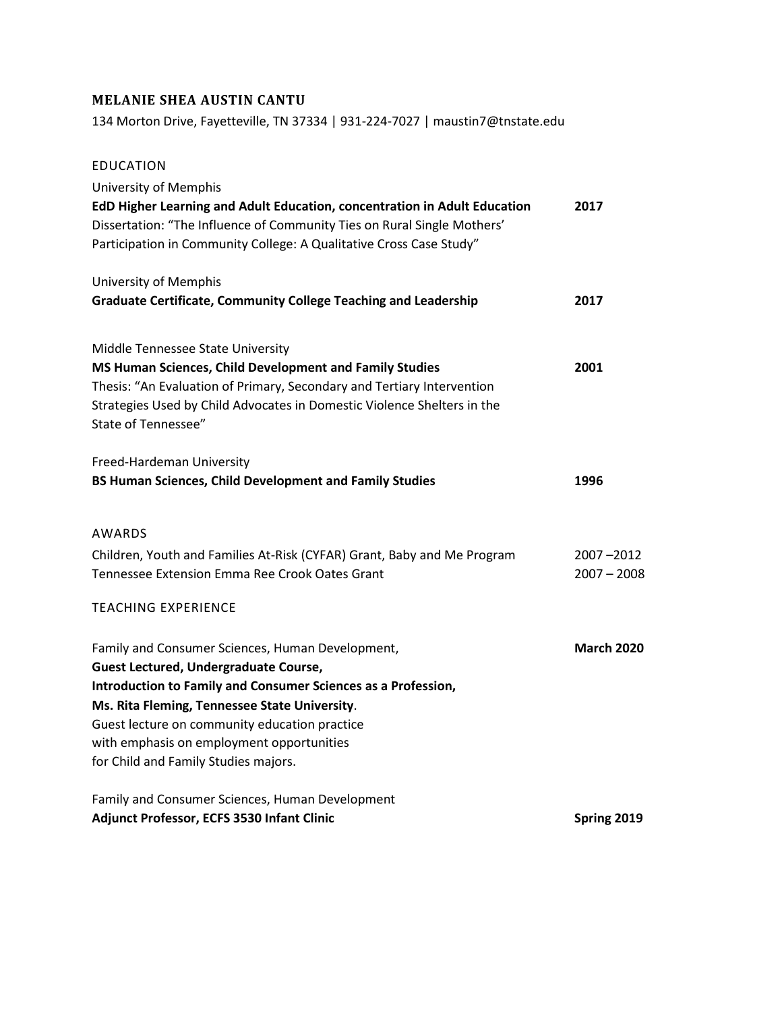# **MELANIE SHEA AUSTIN CANTU**

134 Morton Drive, Fayetteville, TN 37334 | 931-224-7027 | maustin7@tnstate.edu

| <b>EDUCATION</b>                                                          |                   |
|---------------------------------------------------------------------------|-------------------|
| <b>University of Memphis</b>                                              |                   |
| EdD Higher Learning and Adult Education, concentration in Adult Education | 2017              |
| Dissertation: "The Influence of Community Ties on Rural Single Mothers'   |                   |
| Participation in Community College: A Qualitative Cross Case Study"       |                   |
| University of Memphis                                                     |                   |
| <b>Graduate Certificate, Community College Teaching and Leadership</b>    | 2017              |
| Middle Tennessee State University                                         |                   |
| MS Human Sciences, Child Development and Family Studies                   | 2001              |
| Thesis: "An Evaluation of Primary, Secondary and Tertiary Intervention    |                   |
| Strategies Used by Child Advocates in Domestic Violence Shelters in the   |                   |
| State of Tennessee"                                                       |                   |
| Freed-Hardeman University                                                 |                   |
| BS Human Sciences, Child Development and Family Studies                   | 1996              |
| AWARDS                                                                    |                   |
| Children, Youth and Families At-Risk (CYFAR) Grant, Baby and Me Program   | 2007-2012         |
| Tennessee Extension Emma Ree Crook Oates Grant                            | $2007 - 2008$     |
| <b>TEACHING EXPERIENCE</b>                                                |                   |
| Family and Consumer Sciences, Human Development,                          | <b>March 2020</b> |
| <b>Guest Lectured, Undergraduate Course,</b>                              |                   |
| Introduction to Family and Consumer Sciences as a Profession,             |                   |
| Ms. Rita Fleming, Tennessee State University.                             |                   |
| Guest lecture on community education practice                             |                   |
| with emphasis on employment opportunities                                 |                   |
| for Child and Family Studies majors.                                      |                   |
| Family and Consumer Sciences, Human Development                           |                   |
| Adjunct Professor, ECFS 3530 Infant Clinic                                | Spring 2019       |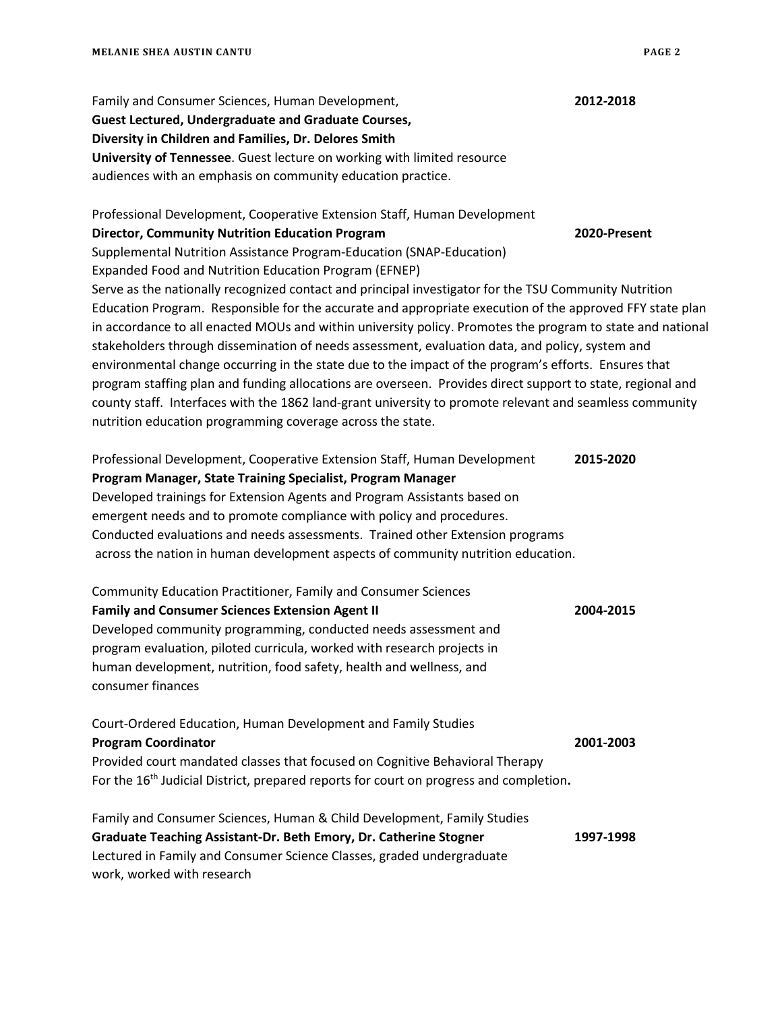| Family and Consumer Sciences, Human Development,                                                           | 2012-2018    |
|------------------------------------------------------------------------------------------------------------|--------------|
| <b>Guest Lectured, Undergraduate and Graduate Courses,</b>                                                 |              |
| Diversity in Children and Families, Dr. Delores Smith                                                      |              |
| University of Tennessee. Guest lecture on working with limited resource                                    |              |
| audiences with an emphasis on community education practice.                                                |              |
|                                                                                                            |              |
| Professional Development, Cooperative Extension Staff, Human Development                                   |              |
| <b>Director, Community Nutrition Education Program</b>                                                     | 2020-Present |
| Supplemental Nutrition Assistance Program-Education (SNAP-Education)                                       |              |
| Expanded Food and Nutrition Education Program (EFNEP)                                                      |              |
| Serve as the nationally recognized contact and principal investigator for the TSU Community Nutrition      |              |
| Education Program. Responsible for the accurate and appropriate execution of the approved FFY state plan   |              |
| in accordance to all enacted MOUs and within university policy. Promotes the program to state and national |              |
| stakeholders through dissemination of needs assessment, evaluation data, and policy, system and            |              |
| environmental change occurring in the state due to the impact of the program's efforts. Ensures that       |              |
| program staffing plan and funding allocations are overseen. Provides direct support to state, regional and |              |
| county staff. Interfaces with the 1862 land-grant university to promote relevant and seamless community    |              |
| nutrition education programming coverage across the state.                                                 |              |
|                                                                                                            |              |
| Professional Development, Cooperative Extension Staff, Human Development                                   | 2015-2020    |
| Program Manager, State Training Specialist, Program Manager                                                |              |
| Developed trainings for Extension Agents and Program Assistants based on                                   |              |
| emergent needs and to promote compliance with policy and procedures.                                       |              |
| Conducted evaluations and needs assessments. Trained other Extension programs                              |              |
| across the nation in human development aspects of community nutrition education.                           |              |
|                                                                                                            |              |
| Community Education Practitioner, Family and Consumer Sciences                                             |              |
| <b>Family and Consumer Sciences Extension Agent II</b>                                                     | 2004-2015    |
| Developed community programming, conducted needs assessment and                                            |              |
| program evaluation, piloted curricula, worked with research projects in                                    |              |
| human development, nutrition, food safety, health and wellness, and                                        |              |
| consumer finances                                                                                          |              |
|                                                                                                            |              |
| Court-Ordered Education, Human Development and Family Studies                                              |              |
| <b>Program Coordinator</b>                                                                                 | 2001-2003    |
| Provided court mandated classes that focused on Cognitive Behavioral Therapy                               |              |
| For the 16 <sup>th</sup> Judicial District, prepared reports for court on progress and completion.         |              |
|                                                                                                            |              |
| Family and Consumer Sciences, Human & Child Development, Family Studies                                    |              |
| Graduate Teaching Assistant-Dr. Beth Emory, Dr. Catherine Stogner                                          | 1997-1998    |
| Lectured in Family and Consumer Science Classes, graded undergraduate                                      |              |

work, worked with research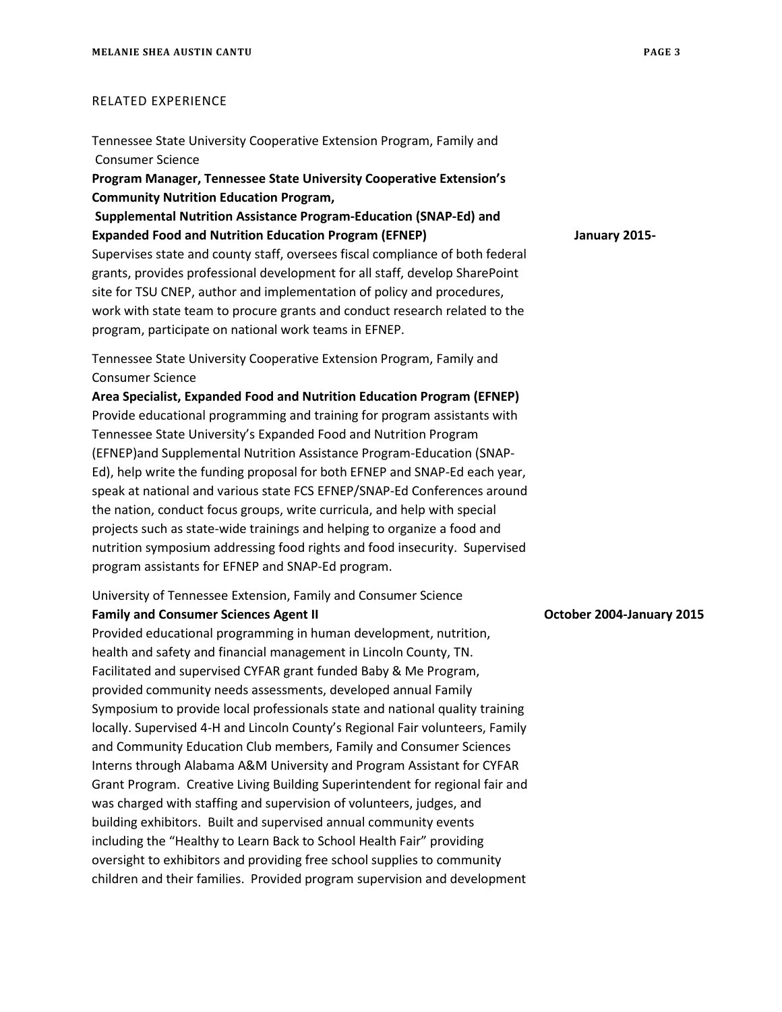#### RELATED EXPERIENCE

Tennessee State University Cooperative Extension Program, Family and Consumer Science **Program Manager, Tennessee State University Cooperative Extension's Community Nutrition Education Program, Supplemental Nutrition Assistance Program-Education (SNAP-Ed) and Expanded Food and Nutrition Education Program (EFNEP) January 2015-** Supervises state and county staff, oversees fiscal compliance of both federal grants, provides professional development for all staff, develop SharePoint site for TSU CNEP, author and implementation of policy and procedures, work with state team to procure grants and conduct research related to the program, participate on national work teams in EFNEP.

Tennessee State University Cooperative Extension Program, Family and Consumer Science

**Area Specialist, Expanded Food and Nutrition Education Program (EFNEP)**  Provide educational programming and training for program assistants with Tennessee State University's Expanded Food and Nutrition Program (EFNEP)and Supplemental Nutrition Assistance Program-Education (SNAP-Ed), help write the funding proposal for both EFNEP and SNAP-Ed each year, speak at national and various state FCS EFNEP/SNAP-Ed Conferences around the nation, conduct focus groups, write curricula, and help with special projects such as state-wide trainings and helping to organize a food and nutrition symposium addressing food rights and food insecurity. Supervised program assistants for EFNEP and SNAP-Ed program.

University of Tennessee Extension, Family and Consumer Science

### **Family and Consumer Sciences Agent II Consumer Sciences Agent II** October 2004-January 2015

Provided educational programming in human development, nutrition, health and safety and financial management in Lincoln County, TN. Facilitated and supervised CYFAR grant funded Baby & Me Program, provided community needs assessments, developed annual Family Symposium to provide local professionals state and national quality training locally. Supervised 4-H and Lincoln County's Regional Fair volunteers, Family and Community Education Club members, Family and Consumer Sciences Interns through Alabama A&M University and Program Assistant for CYFAR Grant Program. Creative Living Building Superintendent for regional fair and was charged with staffing and supervision of volunteers, judges, and building exhibitors. Built and supervised annual community events including the "Healthy to Learn Back to School Health Fair" providing oversight to exhibitors and providing free school supplies to community children and their families. Provided program supervision and development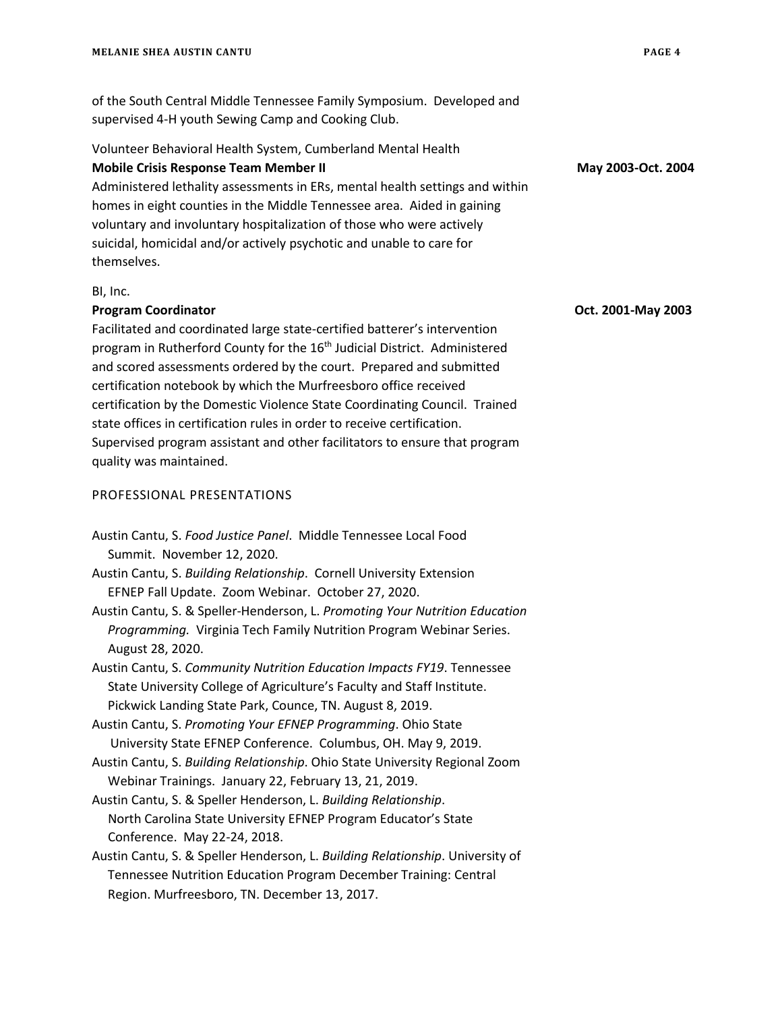of the South Central Middle Tennessee Family Symposium. Developed and supervised 4-H youth Sewing Camp and Cooking Club.

## Volunteer Behavioral Health System, Cumberland Mental Health **Mobile Crisis Response Team Member II May 2003-Oct. 2004**

Administered lethality assessments in ERs, mental health settings and within homes in eight counties in the Middle Tennessee area. Aided in gaining voluntary and involuntary hospitalization of those who were actively suicidal, homicidal and/or actively psychotic and unable to care for themselves.

#### BI, Inc.

#### **Program Coordinator Oct. 2001-May 2003**

Facilitated and coordinated large state-certified batterer's intervention program in Rutherford County for the 16<sup>th</sup> Judicial District. Administered and scored assessments ordered by the court. Prepared and submitted certification notebook by which the Murfreesboro office received certification by the Domestic Violence State Coordinating Council. Trained state offices in certification rules in order to receive certification. Supervised program assistant and other facilitators to ensure that program quality was maintained.

#### PROFESSIONAL PRESENTATIONS

- Austin Cantu, S. *Food Justice Panel*. Middle Tennessee Local Food Summit. November 12, 2020.
- Austin Cantu, S. *Building Relationship*. Cornell University Extension EFNEP Fall Update. Zoom Webinar. October 27, 2020.
- Austin Cantu, S. & Speller-Henderson, L. *Promoting Your Nutrition Education Programming.* Virginia Tech Family Nutrition Program Webinar Series. August 28, 2020.
- Austin Cantu, S. *Community Nutrition Education Impacts FY19*. Tennessee State University College of Agriculture's Faculty and Staff Institute. Pickwick Landing State Park, Counce, TN. August 8, 2019.
- Austin Cantu, S. *Promoting Your EFNEP Programming*. Ohio State University State EFNEP Conference. Columbus, OH. May 9, 2019.
- Austin Cantu, S. *Building Relationship*. Ohio State University Regional Zoom Webinar Trainings. January 22, February 13, 21, 2019.
- Austin Cantu, S. & Speller Henderson, L. *Building Relationship*. North Carolina State University EFNEP Program Educator's State Conference. May 22-24, 2018.
- Austin Cantu, S. & Speller Henderson, L. *Building Relationship*. University of Tennessee Nutrition Education Program December Training: Central Region. Murfreesboro, TN. December 13, 2017.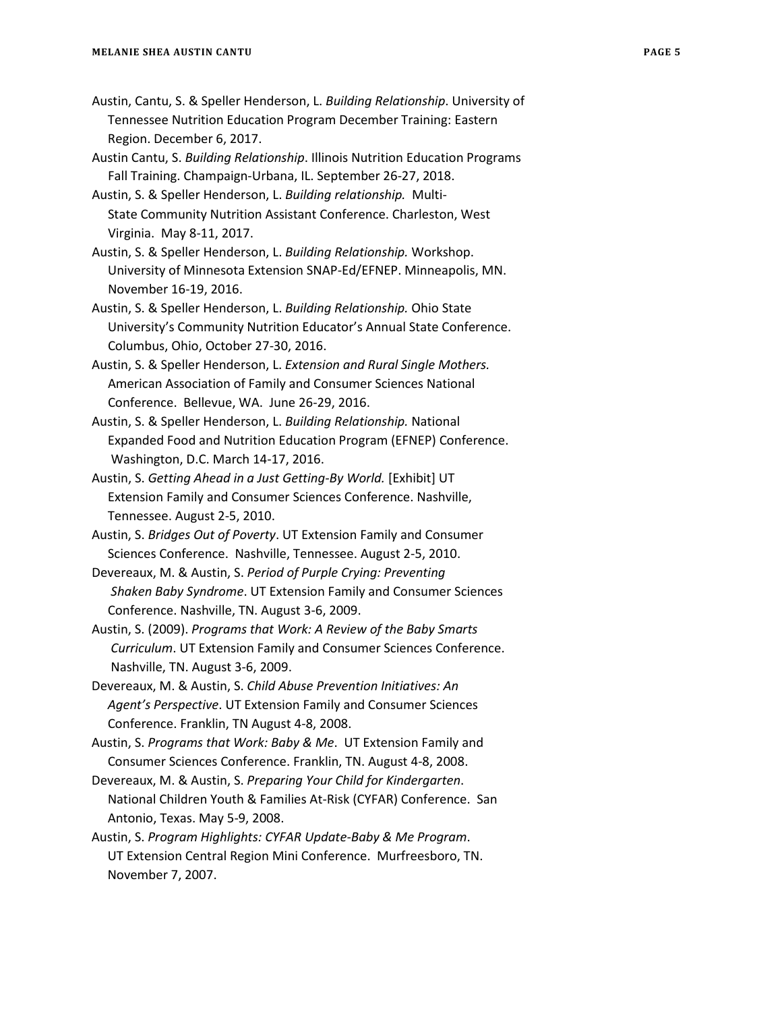- Austin, Cantu, S. & Speller Henderson, L. *Building Relationship*. University of Tennessee Nutrition Education Program December Training: Eastern Region. December 6, 2017.
- Austin Cantu, S. *Building Relationship*. Illinois Nutrition Education Programs Fall Training. Champaign-Urbana, IL. September 26-27, 2018.
- Austin, S. & Speller Henderson, L. *Building relationship.* Multi- State Community Nutrition Assistant Conference. Charleston, West Virginia. May 8-11, 2017.
- Austin, S. & Speller Henderson, L. *Building Relationship.* Workshop. University of Minnesota Extension SNAP-Ed/EFNEP. Minneapolis, MN. November 16-19, 2016.
- Austin, S. & Speller Henderson, L. *Building Relationship.* Ohio State University's Community Nutrition Educator's Annual State Conference. Columbus, Ohio, October 27-30, 2016.
- Austin, S. & Speller Henderson, L. *Extension and Rural Single Mothers.* American Association of Family and Consumer Sciences National Conference. Bellevue, WA. June 26-29, 2016.
- Austin, S. & Speller Henderson, L. *Building Relationship.* National Expanded Food and Nutrition Education Program (EFNEP) Conference. Washington, D.C. March 14-17, 2016.
- Austin, S. *Getting Ahead in a Just Getting-By World.* [Exhibit] UT Extension Family and Consumer Sciences Conference. Nashville, Tennessee. August 2-5, 2010.
- Austin, S. *Bridges Out of Poverty*. UT Extension Family and Consumer Sciences Conference. Nashville, Tennessee. August 2-5, 2010.
- Devereaux, M. & Austin, S. *Period of Purple Crying: Preventing Shaken Baby Syndrome*. UT Extension Family and Consumer Sciences Conference. Nashville, TN. August 3-6, 2009.
- Austin, S. (2009). *Programs that Work: A Review of the Baby Smarts Curriculum*. UT Extension Family and Consumer Sciences Conference. Nashville, TN. August 3-6, 2009.
- Devereaux, M. & Austin, S. *Child Abuse Prevention Initiatives: An Agent's Perspective*. UT Extension Family and Consumer Sciences Conference. Franklin, TN August 4-8, 2008.
- Austin, S. *Programs that Work: Baby & Me*. UT Extension Family and Consumer Sciences Conference. Franklin, TN. August 4-8, 2008.
- Devereaux, M. & Austin, S. *Preparing Your Child for Kindergarten*. National Children Youth & Families At-Risk (CYFAR) Conference. San Antonio, Texas. May 5-9, 2008.
- Austin, S. *Program Highlights: CYFAR Update-Baby & Me Program*. UT Extension Central Region Mini Conference. Murfreesboro, TN. November 7, 2007.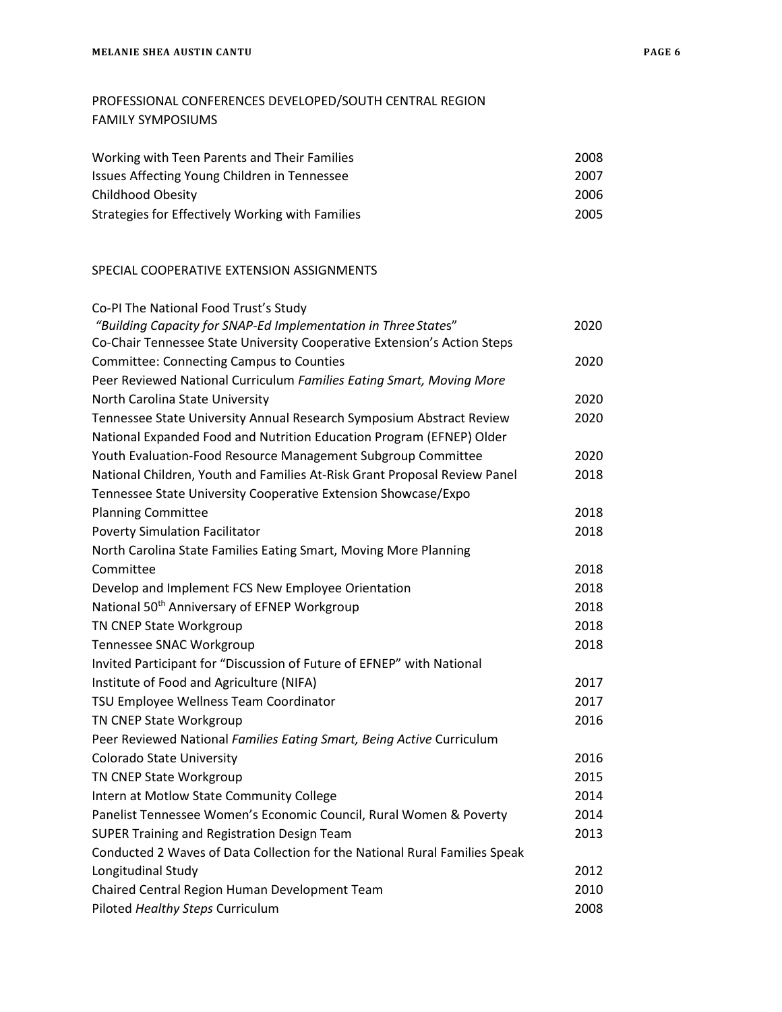## PROFESSIONAL CONFERENCES DEVELOPED/SOUTH CENTRAL REGION FAMILY SYMPOSIUMS

| Working with Teen Parents and Their Families     | 2008 |  |
|--------------------------------------------------|------|--|
| Issues Affecting Young Children in Tennessee     | 2007 |  |
| Childhood Obesity                                | 2006 |  |
| Strategies for Effectively Working with Families | 2005 |  |

### SPECIAL COOPERATIVE EXTENSION ASSIGNMENTS

| Co-PI The National Food Trust's Study                                      |      |
|----------------------------------------------------------------------------|------|
| "Building Capacity for SNAP-Ed Implementation in Three States"             | 2020 |
| Co-Chair Tennessee State University Cooperative Extension's Action Steps   |      |
| <b>Committee: Connecting Campus to Counties</b>                            | 2020 |
| Peer Reviewed National Curriculum Families Eating Smart, Moving More       |      |
| North Carolina State University                                            | 2020 |
| Tennessee State University Annual Research Symposium Abstract Review       | 2020 |
| National Expanded Food and Nutrition Education Program (EFNEP) Older       |      |
| Youth Evaluation-Food Resource Management Subgroup Committee               | 2020 |
| National Children, Youth and Families At-Risk Grant Proposal Review Panel  | 2018 |
| Tennessee State University Cooperative Extension Showcase/Expo             |      |
| <b>Planning Committee</b>                                                  | 2018 |
| <b>Poverty Simulation Facilitator</b>                                      | 2018 |
| North Carolina State Families Eating Smart, Moving More Planning           |      |
| Committee                                                                  | 2018 |
| Develop and Implement FCS New Employee Orientation                         | 2018 |
| National 50 <sup>th</sup> Anniversary of EFNEP Workgroup                   | 2018 |
| TN CNEP State Workgroup                                                    | 2018 |
| Tennessee SNAC Workgroup                                                   | 2018 |
| Invited Participant for "Discussion of Future of EFNEP" with National      |      |
| Institute of Food and Agriculture (NIFA)                                   | 2017 |
| TSU Employee Wellness Team Coordinator                                     | 2017 |
| TN CNEP State Workgroup                                                    | 2016 |
| Peer Reviewed National Families Eating Smart, Being Active Curriculum      |      |
| <b>Colorado State University</b>                                           | 2016 |
| TN CNEP State Workgroup                                                    | 2015 |
| Intern at Motlow State Community College                                   | 2014 |
| Panelist Tennessee Women's Economic Council, Rural Women & Poverty         | 2014 |
| SUPER Training and Registration Design Team                                | 2013 |
| Conducted 2 Waves of Data Collection for the National Rural Families Speak |      |
| Longitudinal Study                                                         | 2012 |
| Chaired Central Region Human Development Team                              | 2010 |
| Piloted Healthy Steps Curriculum                                           | 2008 |